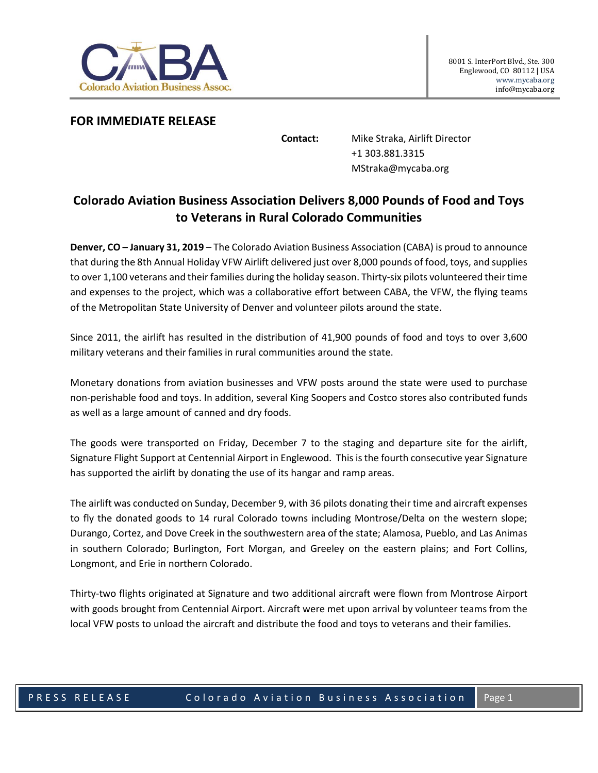

## **FOR IMMEDIATE RELEASE**

**Contact:** Mike Straka, Airlift Director +1 303.881.3315 MStraka@mycaba.org

## **Colorado Aviation Business Association Delivers 8,000 Pounds of Food and Toys to Veterans in Rural Colorado Communities**

**Denver, CO – January 31, 2019** – The Colorado Aviation Business Association (CABA) is proud to announce that during the 8th Annual Holiday VFW Airlift delivered just over 8,000 pounds of food, toys, and supplies to over 1,100 veterans and their families during the holiday season. Thirty-six pilots volunteered their time and expenses to the project, which was a collaborative effort between CABA, the VFW, the flying teams of the Metropolitan State University of Denver and volunteer pilots around the state.

Since 2011, the airlift has resulted in the distribution of 41,900 pounds of food and toys to over 3,600 military veterans and their families in rural communities around the state.

Monetary donations from aviation businesses and VFW posts around the state were used to purchase non-perishable food and toys. In addition, several King Soopers and Costco stores also contributed funds as well as a large amount of canned and dry foods.

The goods were transported on Friday, December 7 to the staging and departure site for the airlift, Signature Flight Support at Centennial Airport in Englewood. This is the fourth consecutive year Signature has supported the airlift by donating the use of its hangar and ramp areas.

The airlift was conducted on Sunday, December 9, with 36 pilots donating their time and aircraft expenses to fly the donated goods to 14 rural Colorado towns including Montrose/Delta on the western slope; Durango, Cortez, and Dove Creek in the southwestern area of the state; Alamosa, Pueblo, and Las Animas in southern Colorado; Burlington, Fort Morgan, and Greeley on the eastern plains; and Fort Collins, Longmont, and Erie in northern Colorado.

Thirty-two flights originated at Signature and two additional aircraft were flown from Montrose Airport with goods brought from Centennial Airport. Aircraft were met upon arrival by volunteer teams from the local VFW posts to unload the aircraft and distribute the food and toys to veterans and their families.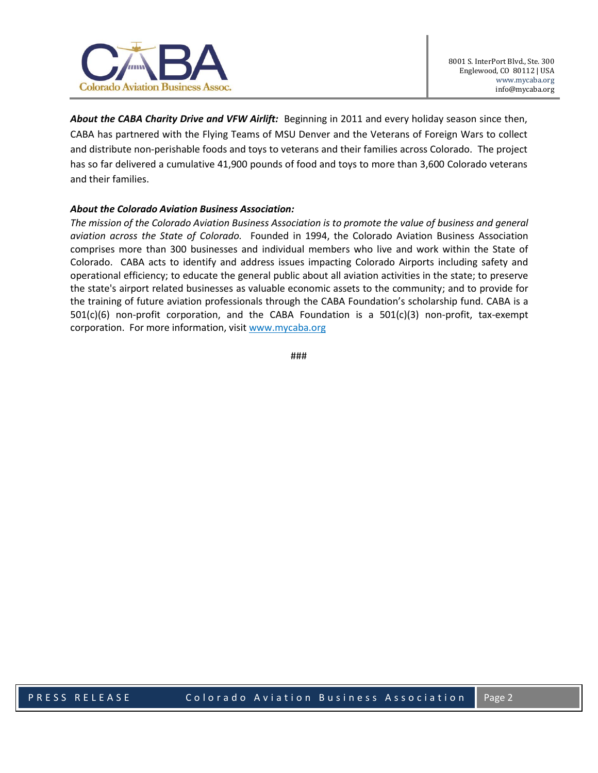

*About the CABA Charity Drive and VFW Airlift:* Beginning in 2011 and every holiday season since then, CABA has partnered with the Flying Teams of MSU Denver and the Veterans of Foreign Wars to collect and distribute non-perishable foods and toys to veterans and their families across Colorado. The project has so far delivered a cumulative 41,900 pounds of food and toys to more than 3,600 Colorado veterans and their families.

## *About the Colorado Aviation Business Association:*

*The mission of the Colorado Aviation Business Association is to promote the value of business and general aviation across the State of Colorado.* Founded in 1994, the Colorado Aviation Business Association comprises more than 300 businesses and individual members who live and work within the State of Colorado. CABA acts to identify and address issues impacting Colorado Airports including safety and operational efficiency; to educate the general public about all aviation activities in the state; to preserve the state's airport related businesses as valuable economic assets to the community; and to provide for the training of future aviation professionals through the CABA Foundation's scholarship fund. CABA is a 501(c)(6) non-profit corporation, and the CABA Foundation is a 501(c)(3) non-profit, tax-exempt corporation. For more information, visit [www.mycaba.org](http://www.mycaba.org/)

###